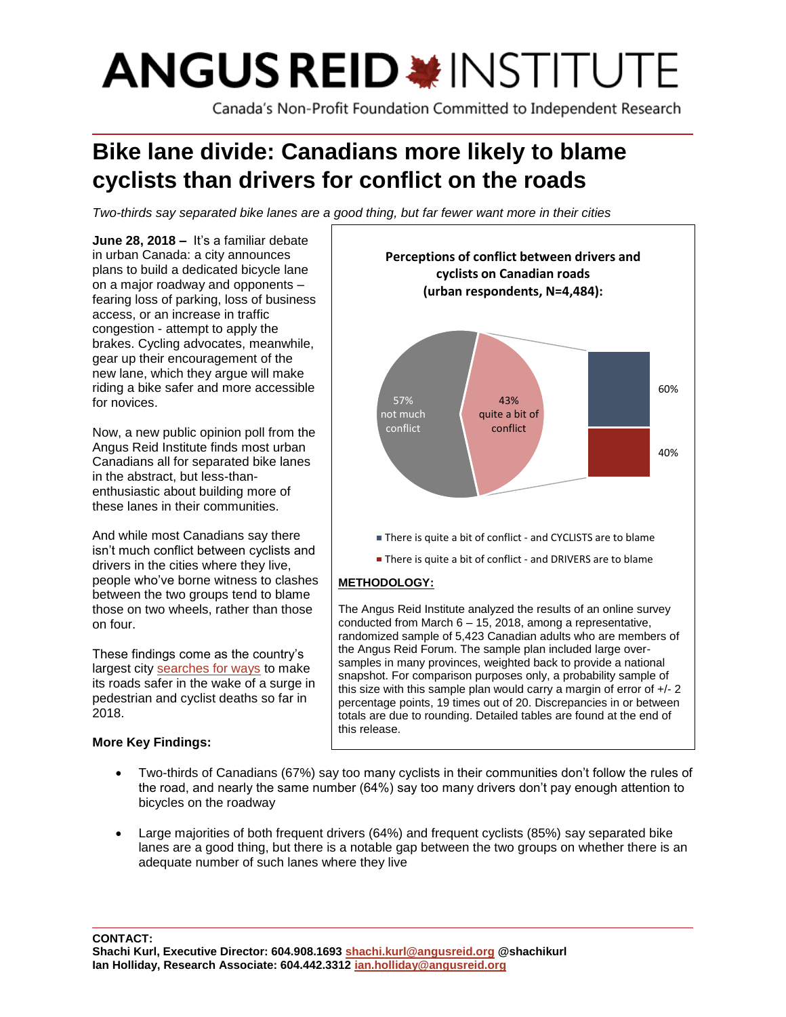# **ANGUS REID \*INSTITUTE**

Canada's Non-Profit Foundation Committed to Independent Research

# **Bike lane divide: Canadians more likely to blame cyclists than drivers for conflict on the roads**

*Two-thirds say separated bike lanes are a good thing, but far fewer want more in their cities*

**June 28, 2018 –** It's a familiar debate in urban Canada: a city announces plans to build a dedicated bicycle lane on a major roadway and opponents – fearing loss of parking, loss of business access, or an increase in traffic congestion - attempt to apply the brakes. Cycling advocates, meanwhile, gear up their encouragement of the new lane, which they argue will make riding a bike safer and more accessible for novices.

Now, a new public opinion poll from the Angus Reid Institute finds most urban Canadians all for separated bike lanes in the abstract, but less-thanenthusiastic about building more of these lanes in their communities.

And while most Canadians say there isn't much conflict between cyclists and drivers in the cities where they live, people who've borne witness to clashes between the two groups tend to blame those on two wheels, rather than those on four.

These findings come as the country's largest city [searches for ways](https://www.theglobeandmail.com/canada/toronto/article-toronto-urged-to-take-action-after-string-of-pedestrian-and-cyclist/) to make its roads safer in the wake of a surge in pedestrian and cyclist deaths so far in 2018.

# **More Key Findings:**



randomized sample of 5,423 Canadian adults who are members of the Angus Reid Forum. The sample plan included large oversamples in many provinces, weighted back to provide a national snapshot. For comparison purposes only, a probability sample of this size with this sample plan would carry a margin of error of +/- 2 percentage points, 19 times out of 20. Discrepancies in or between totals are due to rounding. Detailed tables are found at the end of this release.

- Two-thirds of Canadians (67%) say too many cyclists in their communities don't follow the rules of the road, and nearly the same number (64%) say too many drivers don't pay enough attention to bicycles on the roadway
- Large majorities of both frequent drivers (64%) and frequent cyclists (85%) say separated bike lanes are a good thing, but there is a notable gap between the two groups on whether there is an adequate number of such lanes where they live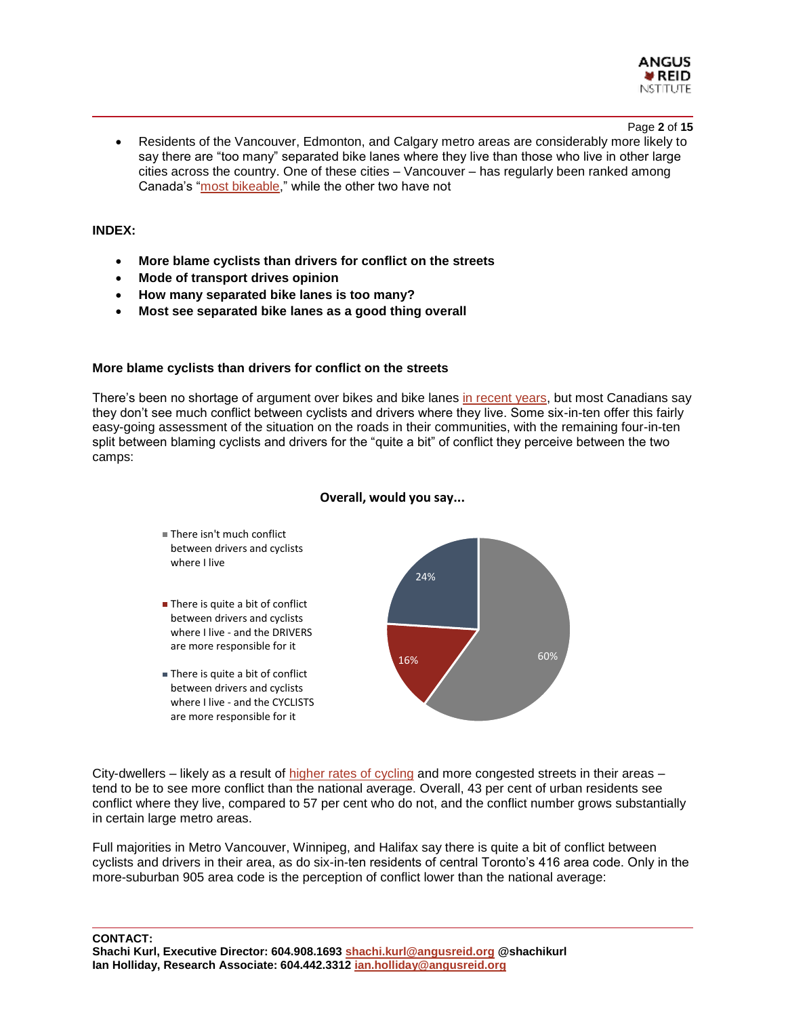

Page **2** of **15**

• Residents of the Vancouver, Edmonton, and Calgary metro areas are considerably more likely to say there are "too many" separated bike lanes where they live than those who live in other large cities across the country. One of these cities – Vancouver – has regularly been ranked among Canada's ["most bikeable,](http://www.cbc.ca/keepingcanadasafe/blog/bike-friendly-places-canada)" while the other two have not

#### **INDEX:**

- **More blame cyclists than drivers for conflict on the streets**
- **Mode of transport drives opinion**
- **How many separated bike lanes is too many?**
- **Most see separated bike lanes as a good thing overall**

#### **More blame cyclists than drivers for conflict on the streets**

There's been no shortage of argument over bikes and bike lanes [in recent years,](https://www.cbc.ca/news/canada/british-columbia/if-vancouver-builds-a-bike-lane-and-nobody-seems-to-care-can-it-still-be-an-election-issue-1.4494346) but most Canadians say they don't see much conflict between cyclists and drivers where they live. Some six-in-ten offer this fairly easy-going assessment of the situation on the roads in their communities, with the remaining four-in-ten split between blaming cyclists and drivers for the "quite a bit" of conflict they perceive between the two camps:



#### **Overall, would you say...**

City-dwellers – likely as a result of [higher rates of cycling](https://www.theglobeandmail.com/news/national/census-2016-spike-in-number-of-canadians-cycling-taking-public-transit-to-work/article37127643/) and more congested streets in their areas – tend to be to see more conflict than the national average. Overall, 43 per cent of urban residents see conflict where they live, compared to 57 per cent who do not, and the conflict number grows substantially in certain large metro areas.

Full majorities in Metro Vancouver, Winnipeg, and Halifax say there is quite a bit of conflict between cyclists and drivers in their area, as do six-in-ten residents of central Toronto's 416 area code. Only in the more-suburban 905 area code is the perception of conflict lower than the national average: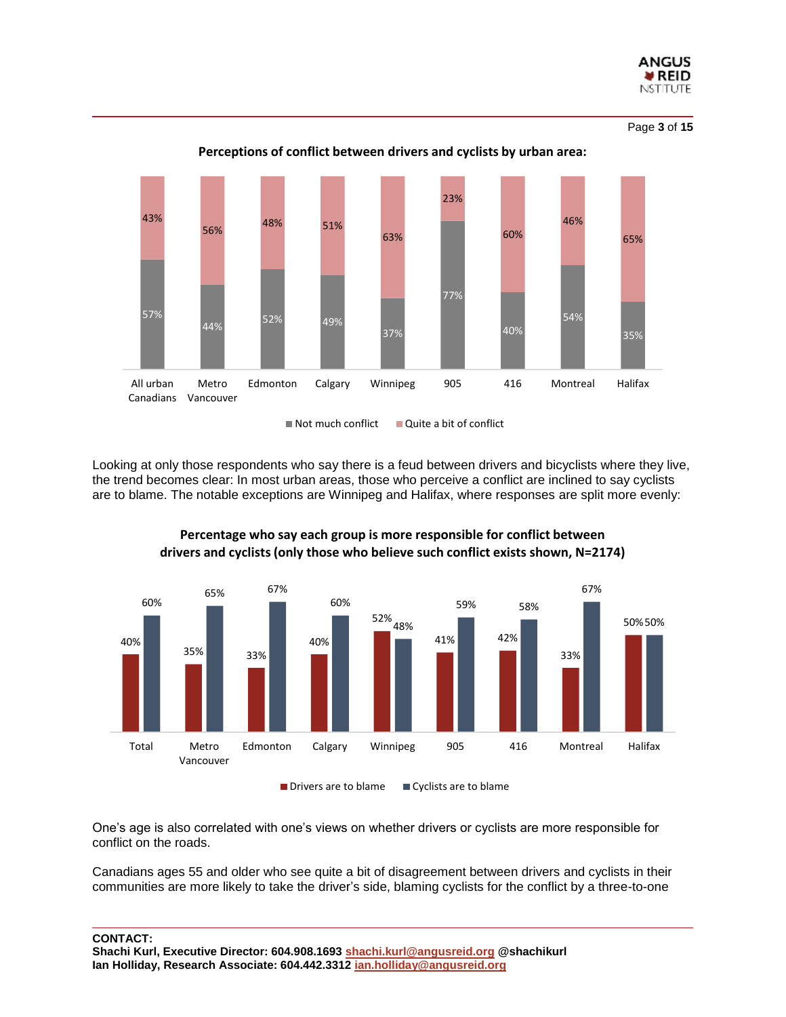

Page **3** of **15**



**Perceptions of conflict between drivers and cyclists by urban area:**

 $\blacksquare$  Not much conflict  $\blacksquare$  Quite a bit of conflict

Looking at only those respondents who say there is a feud between drivers and bicyclists where they live, the trend becomes clear: In most urban areas, those who perceive a conflict are inclined to say cyclists are to blame. The notable exceptions are Winnipeg and Halifax, where responses are split more evenly:



**Percentage who say each group is more responsible for conflict between drivers and cyclists (only those who believe such conflict exists shown, N=2174)**

One's age is also correlated with one's views on whether drivers or cyclists are more responsible for conflict on the roads.

Canadians ages 55 and older who see quite a bit of disagreement between drivers and cyclists in their communities are more likely to take the driver's side, blaming cyclists for the conflict by a three-to-one

**CONTACT:**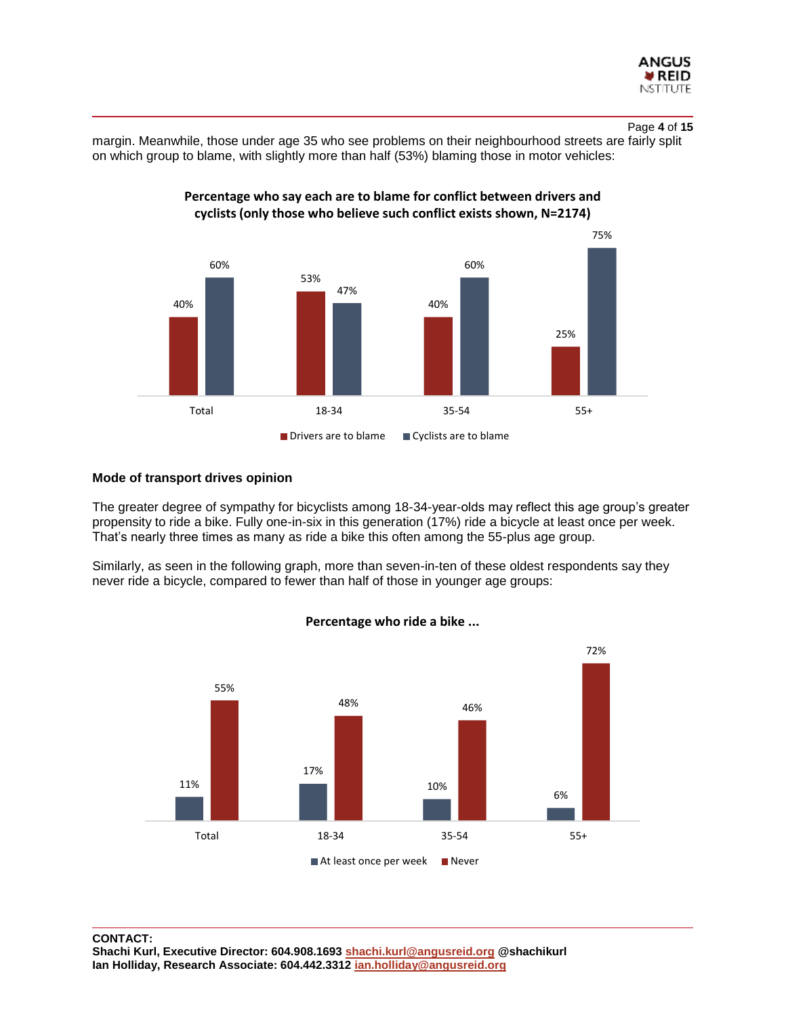

#### Page **4** of **15**

margin. Meanwhile, those under age 35 who see problems on their neighbourhood streets are fairly split on which group to blame, with slightly more than half (53%) blaming those in motor vehicles:



#### **Percentage who say each are to blame for conflict between drivers and cyclists (only those who believe such conflict exists shown, N=2174)**

#### **Mode of transport drives opinion**

The greater degree of sympathy for bicyclists among 18-34-year-olds may reflect this age group's greater propensity to ride a bike. Fully one-in-six in this generation (17%) ride a bicycle at least once per week. That's nearly three times as many as ride a bike this often among the 55-plus age group.

Similarly, as seen in the following graph, more than seven-in-ten of these oldest respondents say they never ride a bicycle, compared to fewer than half of those in younger age groups:



**Percentage who ride a bike ...**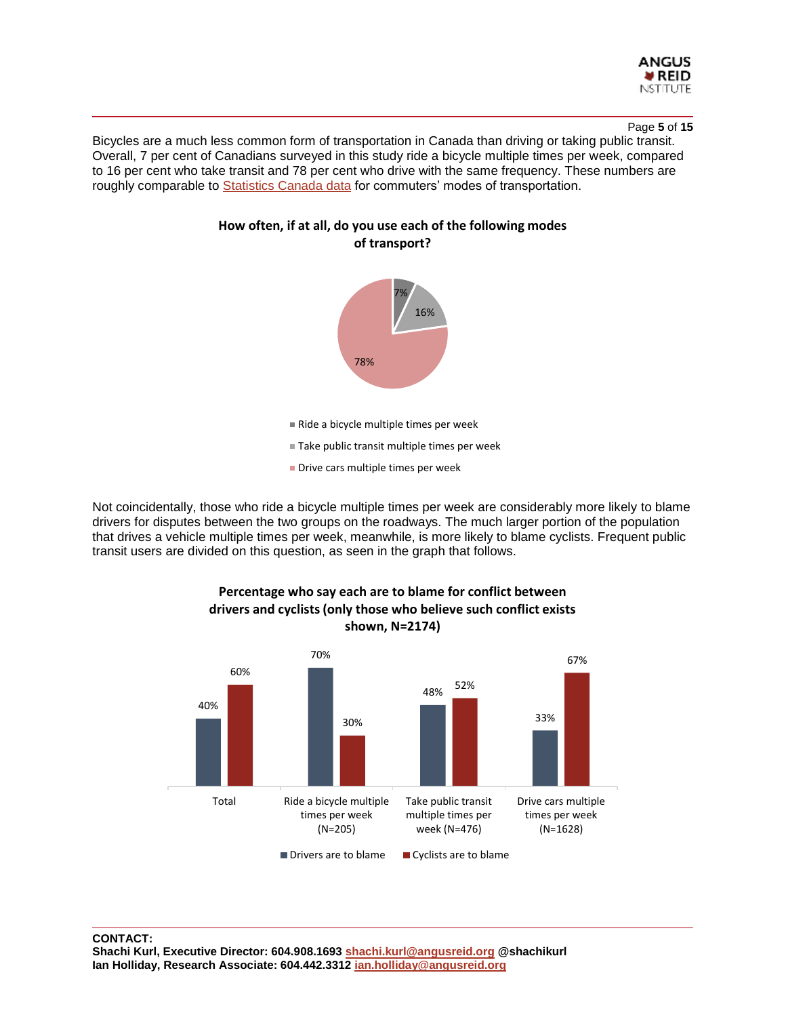

#### Page **5** of **15**

Bicycles are a much less common form of transportation in Canada than driving or taking public transit. Overall, 7 per cent of Canadians surveyed in this study ride a bicycle multiple times per week, compared to 16 per cent who take transit and 78 per cent who drive with the same frequency. These numbers are roughly comparable to [Statistics Canada data](https://www12.statcan.gc.ca/nhs-enm/2011/as-sa/99-012-x/99-012-x2011003_1-eng.cfm) for commuters' modes of transportation.



**How often, if at all, do you use each of the following modes of transport?**

Not coincidentally, those who ride a bicycle multiple times per week are considerably more likely to blame drivers for disputes between the two groups on the roadways. The much larger portion of the population that drives a vehicle multiple times per week, meanwhile, is more likely to blame cyclists. Frequent public transit users are divided on this question, as seen in the graph that follows.

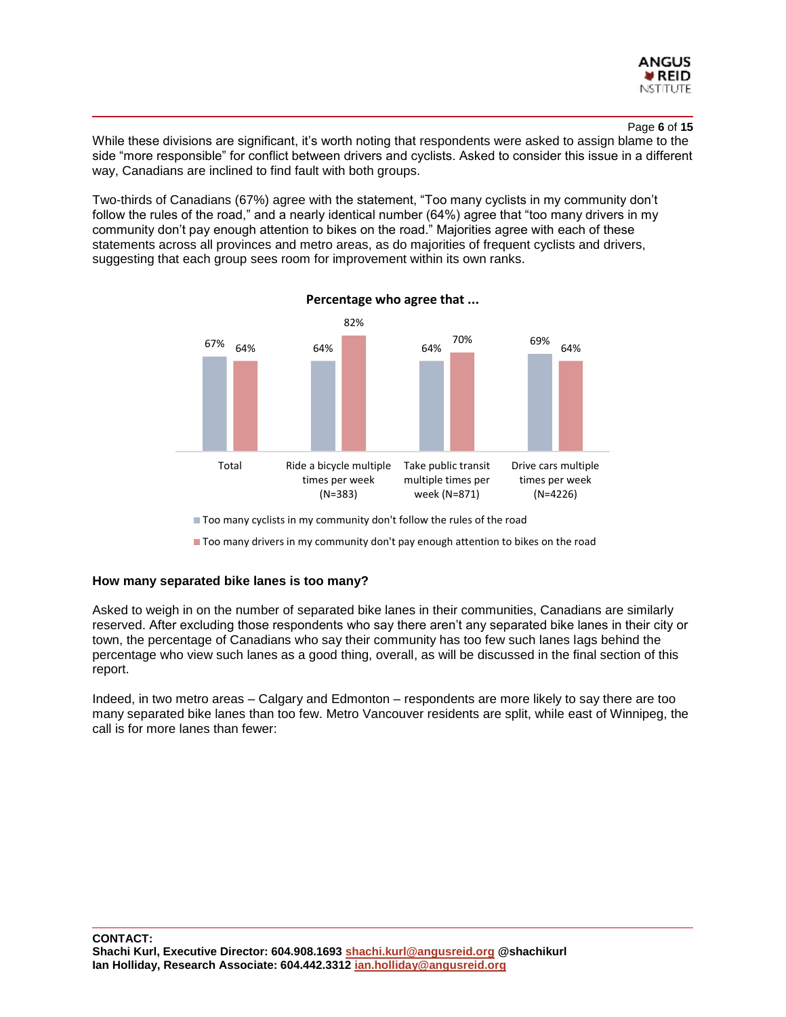

#### Page **6** of **15**

While these divisions are significant, it's worth noting that respondents were asked to assign blame to the side "more responsible" for conflict between drivers and cyclists. Asked to consider this issue in a different way, Canadians are inclined to find fault with both groups.

Two-thirds of Canadians (67%) agree with the statement, "Too many cyclists in my community don't follow the rules of the road," and a nearly identical number (64%) agree that "too many drivers in my community don't pay enough attention to bikes on the road." Majorities agree with each of these statements across all provinces and metro areas, as do majorities of frequent cyclists and drivers, suggesting that each group sees room for improvement within its own ranks.



**Percentage who agree that ...**

■ Too many cyclists in my community don't follow the rules of the road

Too many drivers in my community don't pay enough attention to bikes on the road

#### **How many separated bike lanes is too many?**

Asked to weigh in on the number of separated bike lanes in their communities, Canadians are similarly reserved. After excluding those respondents who say there aren't any separated bike lanes in their city or town, the percentage of Canadians who say their community has too few such lanes lags behind the percentage who view such lanes as a good thing, overall, as will be discussed in the final section of this report.

Indeed, in two metro areas – Calgary and Edmonton – respondents are more likely to say there are too many separated bike lanes than too few. Metro Vancouver residents are split, while east of Winnipeg, the call is for more lanes than fewer: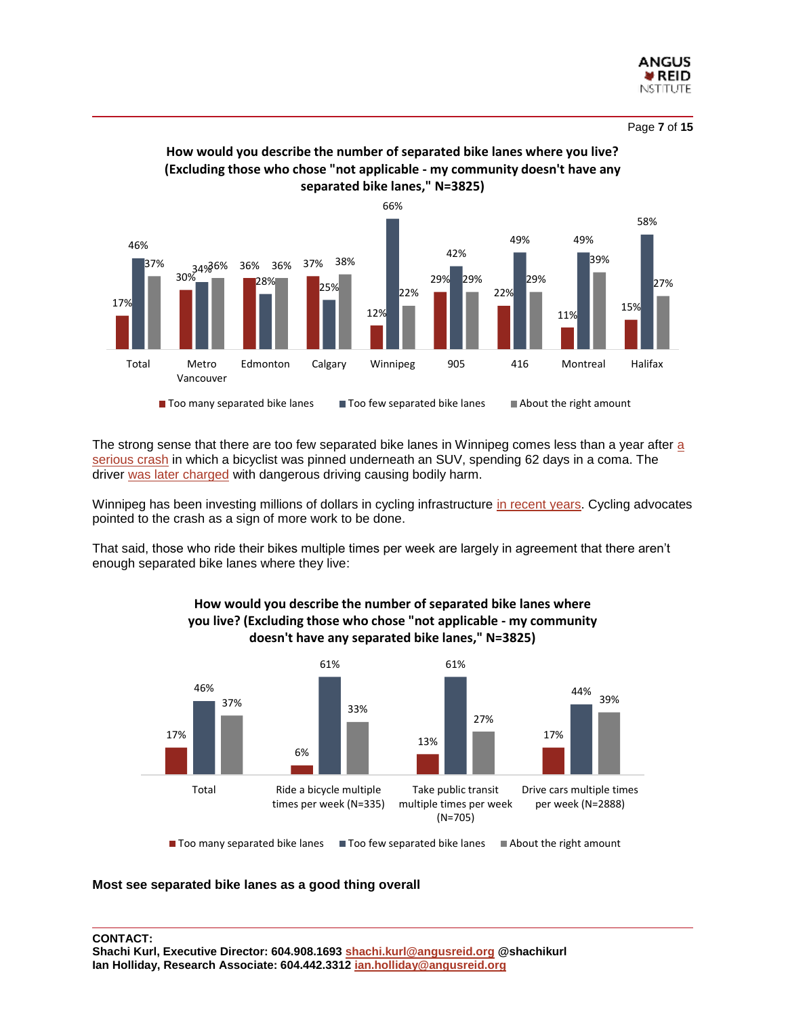



**How would you describe the number of separated bike lanes where you live?** 

The strong sense that there are too few separated bike lanes in Winnipeg comes less than [a](http://www.cbc.ca/news/canada/manitoba/rollover-crash-winnipeg-fermor-1.4139088) year after a [serious crash](http://www.cbc.ca/news/canada/manitoba/rollover-crash-winnipeg-fermor-1.4139088) in which a bicyclist was pinned underneath an SUV, spending 62 days in a coma. The driver [was later charged](http://www.cbc.ca/news/canada/manitoba/winnipeg-cyclist-suv-crash-1.4562449) with dangerous driving causing bodily harm.

Winnipeg has been investing millions of dollars in cycling infrastructure [in recent years.](https://www.cbc.ca/news/canada/manitoba/cyclist-crash-winnipeg-1.4141985) Cycling advocates pointed to the crash as a sign of more work to be done.

That said, those who ride their bikes multiple times per week are largely in agreement that there aren't enough separated bike lanes where they live:



## **How would you describe the number of separated bike lanes where you live? (Excluding those who chose "not applicable - my community doesn't have any separated bike lanes," N=3825)**

**Most see separated bike lanes as a good thing overall**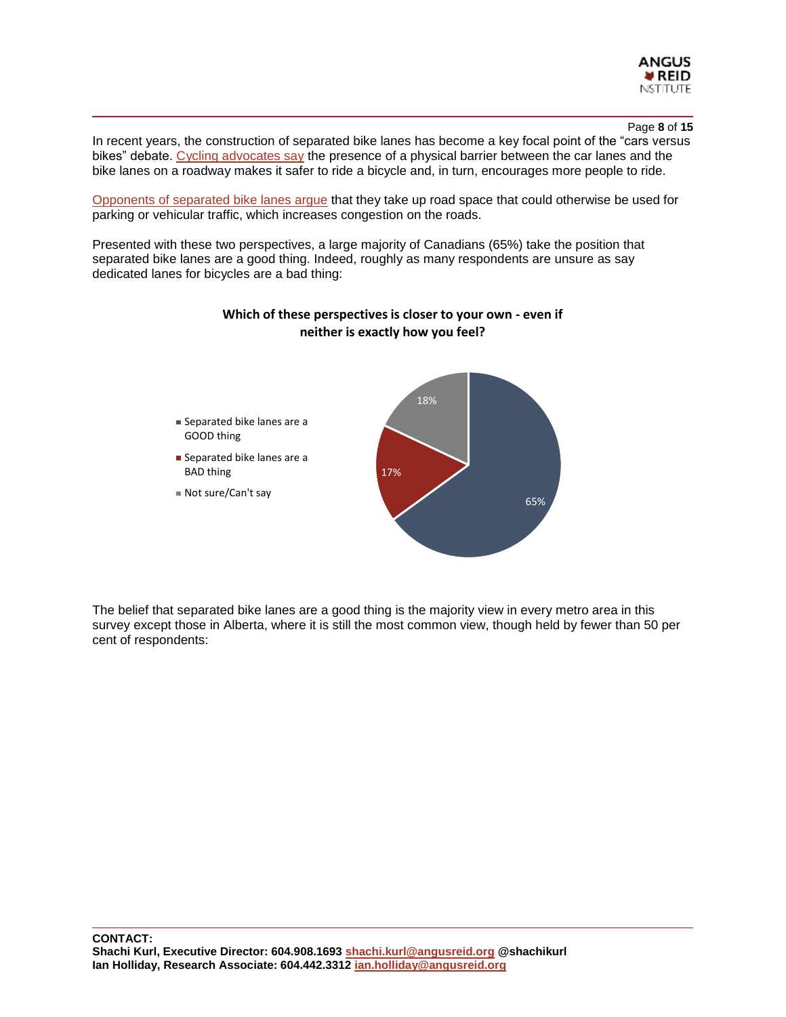

Page **8** of **15**

In recent years, the construction of separated bike lanes has become a key focal point of the "cars versus bikes" debate. [Cycling advocates say](https://www.citylab.com/transportation/2014/06/protected-bike-lanes-arent-just-safer-they-can-also-increase-cycling/371958/) the presence of a physical barrier between the car lanes and the bike lanes on a roadway makes it safer to ride a bicycle and, in turn, encourages more people to ride.

[Opponents of separated bike lanes argue](http://business.financialpost.com/opinion/lawrence-solomon-ban-the-bike-how-cities-made-a-huge-mistake-in-promoting-cycling) that they take up road space that could otherwise be used for parking or vehicular traffic, which increases congestion on the roads.

Presented with these two perspectives, a large majority of Canadians (65%) take the position that separated bike lanes are a good thing. Indeed, roughly as many respondents are unsure as say dedicated lanes for bicycles are a bad thing:



#### **Which of these perspectives is closer to your own - even if neither is exactly how you feel?**

The belief that separated bike lanes are a good thing is the majority view in every metro area in this survey except those in Alberta, where it is still the most common view, though held by fewer than 50 per cent of respondents: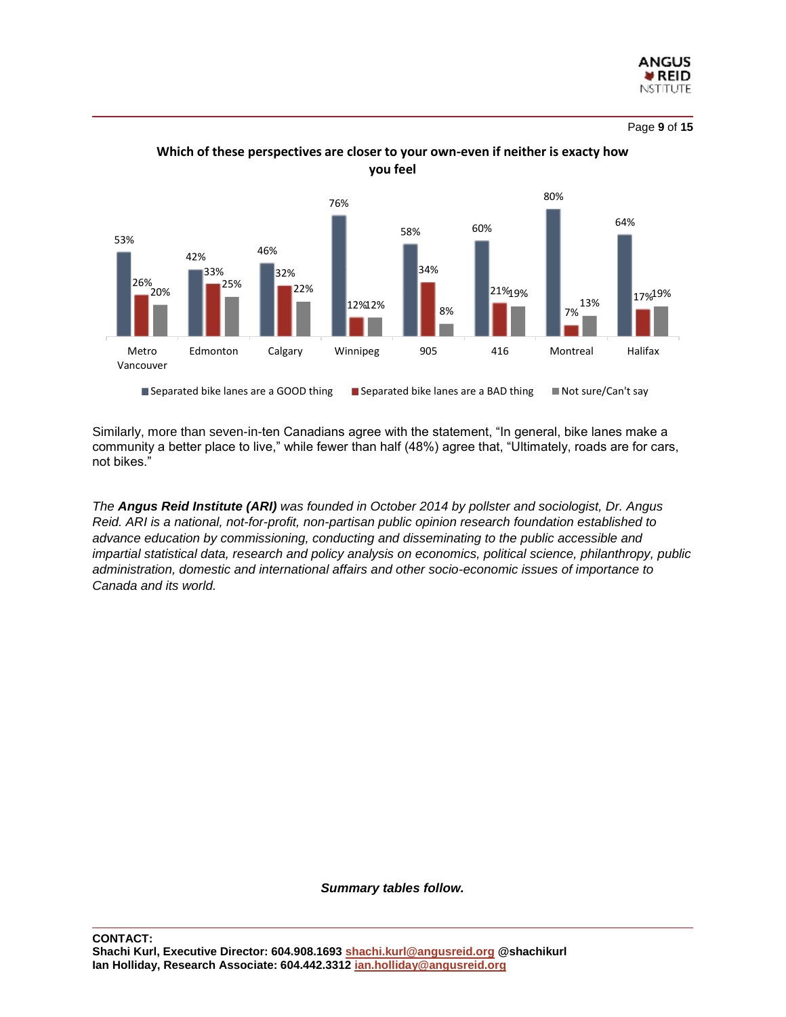

Page **9** of **15**



**Which of these perspectives are closer to your own-even if neither is exacty how you feel**

Similarly, more than seven-in-ten Canadians agree with the statement, "In general, bike lanes make a community a better place to live," while fewer than half (48%) agree that, "Ultimately, roads are for cars, not bikes."

*The Angus Reid Institute (ARI) was founded in October 2014 by pollster and sociologist, Dr. Angus Reid. ARI is a national, not-for-profit, non-partisan public opinion research foundation established to advance education by commissioning, conducting and disseminating to the public accessible and impartial statistical data, research and policy analysis on economics, political science, philanthropy, public administration, domestic and international affairs and other socio-economic issues of importance to Canada and its world.*

*Summary tables follow.*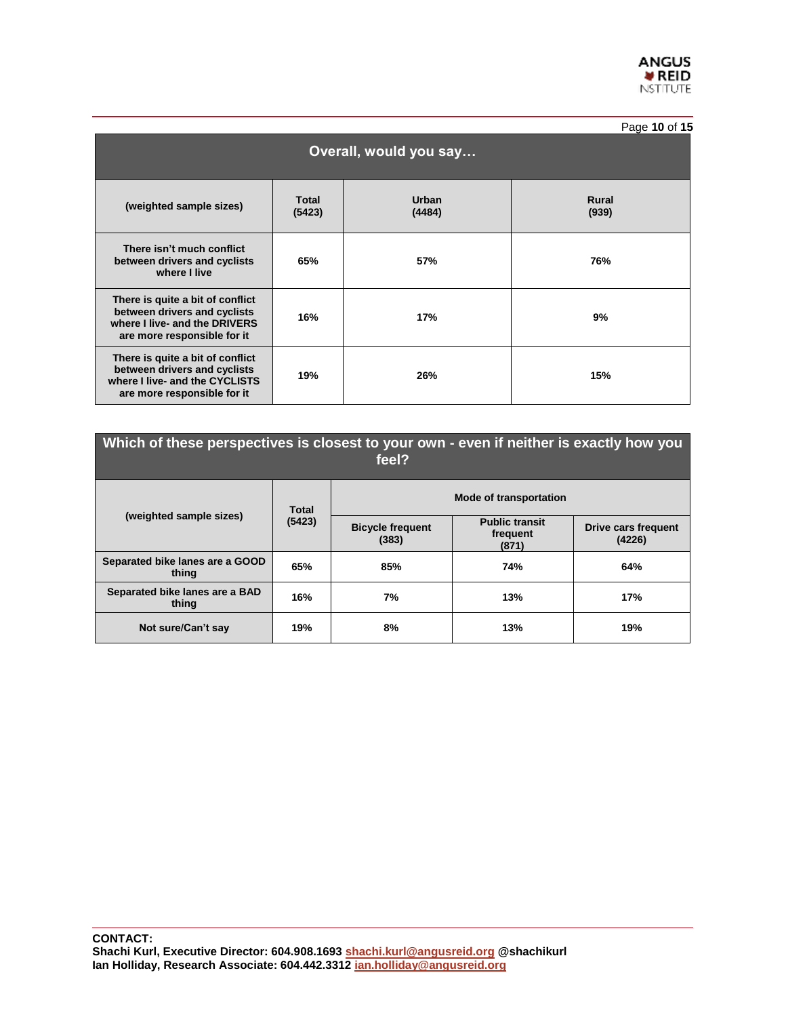

|                                                                                                                                   |                        |                        | Page 10 of 15         |  |  |  |  |  |
|-----------------------------------------------------------------------------------------------------------------------------------|------------------------|------------------------|-----------------------|--|--|--|--|--|
| Overall, would you say                                                                                                            |                        |                        |                       |  |  |  |  |  |
| (weighted sample sizes)                                                                                                           | <b>Total</b><br>(5423) | <b>Urban</b><br>(4484) | <b>Rural</b><br>(939) |  |  |  |  |  |
| There isn't much conflict<br>between drivers and cyclists<br>where I live                                                         | 65%                    | 57%                    | 76%                   |  |  |  |  |  |
| There is quite a bit of conflict<br>between drivers and cyclists<br>where I live- and the DRIVERS<br>are more responsible for it  | 16%                    | 17%                    | 9%                    |  |  |  |  |  |
| There is quite a bit of conflict<br>between drivers and cyclists<br>where I live- and the CYCLISTS<br>are more responsible for it | 19%                    | 26%                    | 15%                   |  |  |  |  |  |

| Which of these perspectives is closest to your own - even if neither is exactly how you<br>feel? |              |                                  |                                            |                               |  |  |  |
|--------------------------------------------------------------------------------------------------|--------------|----------------------------------|--------------------------------------------|-------------------------------|--|--|--|
|                                                                                                  | <b>Total</b> | <b>Mode of transportation</b>    |                                            |                               |  |  |  |
| (weighted sample sizes)                                                                          | (5423)       | <b>Bicycle frequent</b><br>(383) | <b>Public transit</b><br>frequent<br>(871) | Drive cars frequent<br>(4226) |  |  |  |
| Separated bike lanes are a GOOD<br>thing                                                         | 65%          | 85%                              | 74%                                        | 64%                           |  |  |  |
| Separated bike lanes are a BAD<br>thing                                                          | 16%          | 7%                               | 13%                                        | 17%                           |  |  |  |
| Not sure/Can't say                                                                               | 19%          | 8%                               | 13%                                        | 19%                           |  |  |  |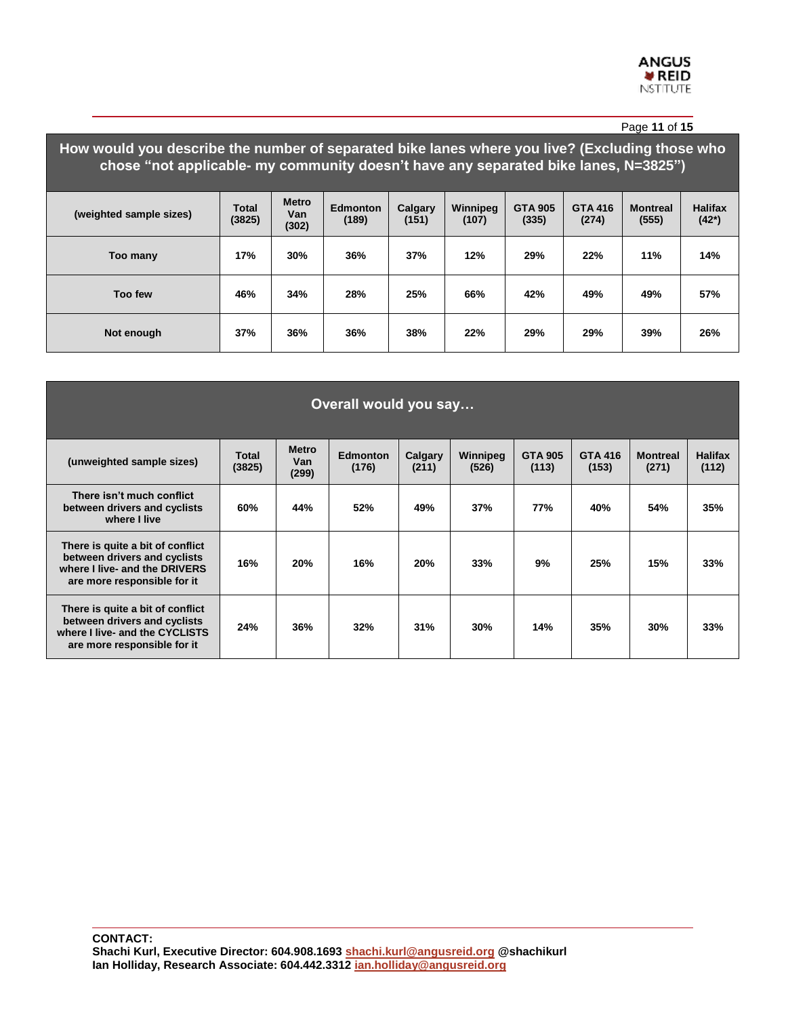|                                                                                                                                                                                       |                 |                              |                          |                  |                   |                         |                         | Page 11 of 15            |                            |
|---------------------------------------------------------------------------------------------------------------------------------------------------------------------------------------|-----------------|------------------------------|--------------------------|------------------|-------------------|-------------------------|-------------------------|--------------------------|----------------------------|
| How would you describe the number of separated bike lanes where you live? (Excluding those who<br>chose "not applicable- my community doesn't have any separated bike lanes, N=3825") |                 |                              |                          |                  |                   |                         |                         |                          |                            |
| (weighted sample sizes)                                                                                                                                                               | Total<br>(3825) | <b>Metro</b><br>Van<br>(302) | <b>Edmonton</b><br>(189) | Calgary<br>(151) | Winnipeg<br>(107) | <b>GTA 905</b><br>(335) | <b>GTA 416</b><br>(274) | <b>Montreal</b><br>(555) | <b>Halifax</b><br>$(42^*)$ |
| Too many                                                                                                                                                                              | 17%             | 30%                          | 36%                      | 37%              | 12%               | 29%                     | 22%                     | 11%                      | 14%                        |
| Too few                                                                                                                                                                               | 46%             | 34%                          | 28%                      | 25%              | 66%               | 42%                     | 49%                     | 49%                      | 57%                        |
| Not enough                                                                                                                                                                            | 37%             | 36%                          | 36%                      | 38%              | 22%               | 29%                     | 29%                     | 39%                      | 26%                        |

| Overall would you say                                                                                                             |                 |                              |                          |                  |                   |                         |                         |                          |                         |
|-----------------------------------------------------------------------------------------------------------------------------------|-----------------|------------------------------|--------------------------|------------------|-------------------|-------------------------|-------------------------|--------------------------|-------------------------|
| (unweighted sample sizes)                                                                                                         | Total<br>(3825) | <b>Metro</b><br>Van<br>(299) | <b>Edmonton</b><br>(176) | Calgary<br>(211) | Winnipeg<br>(526) | <b>GTA 905</b><br>(113) | <b>GTA 416</b><br>(153) | <b>Montreal</b><br>(271) | <b>Halifax</b><br>(112) |
| There isn't much conflict<br>between drivers and cyclists<br>where I live                                                         | 60%             | 44%                          | 52%                      | 49%              | 37%               | 77%                     | 40%                     | 54%                      | 35%                     |
| There is quite a bit of conflict<br>between drivers and cyclists<br>where I live- and the DRIVERS<br>are more responsible for it  | 16%             | 20%                          | 16%                      | 20%              | 33%               | 9%                      | 25%                     | 15%                      | 33%                     |
| There is quite a bit of conflict<br>between drivers and cyclists<br>where I live- and the CYCLISTS<br>are more responsible for it | 24%             | 36%                          | 32%                      | 31%              | 30%               | 14%                     | 35%                     | 30%                      | 33%                     |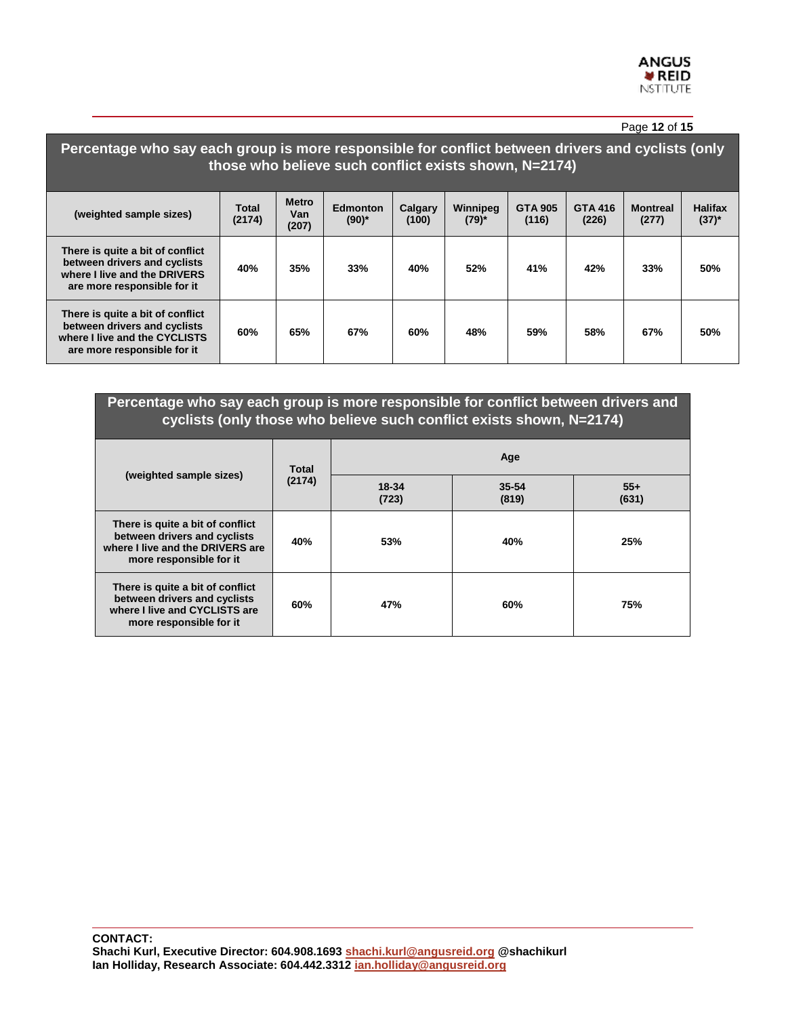|                                                                                                                                                            |                        |                              |                        |                  |                      |                         |                         | Page 12 of 15            |                              |
|------------------------------------------------------------------------------------------------------------------------------------------------------------|------------------------|------------------------------|------------------------|------------------|----------------------|-------------------------|-------------------------|--------------------------|------------------------------|
| Percentage who say each group is more responsible for conflict between drivers and cyclists (only<br>those who believe such conflict exists shown, N=2174) |                        |                              |                        |                  |                      |                         |                         |                          |                              |
| (weighted sample sizes)                                                                                                                                    | <b>Total</b><br>(2174) | <b>Metro</b><br>Van<br>(207) | Edmonton<br>$(90)^{*}$ | Calgary<br>(100) | Winnipeg<br>$(79)^*$ | <b>GTA 905</b><br>(116) | <b>GTA 416</b><br>(226) | <b>Montreal</b><br>(277) | <b>Halifax</b><br>$(37)^{*}$ |
| There is quite a bit of conflict<br>between drivers and cyclists<br>where I live and the DRIVERS<br>are more responsible for it                            | 40%                    | 35%                          | 33%                    | 40%              | 52%                  | 41%                     | 42%                     | 33%                      | 50%                          |
| There is quite a bit of conflict<br>between drivers and cyclists<br>where I live and the CYCLISTS<br>are more responsible for it                           | 60%                    | 65%                          | 67%                    | 60%              | 48%                  | 59%                     | 58%                     | 67%                      | 50%                          |

| Percentage who say each group is more responsible for conflict between drivers and<br>cyclists (only those who believe such conflict exists shown, N=2174) |        |                |                    |                |  |  |  |
|------------------------------------------------------------------------------------------------------------------------------------------------------------|--------|----------------|--------------------|----------------|--|--|--|
| (weighted sample sizes)                                                                                                                                    | Total  | Age            |                    |                |  |  |  |
|                                                                                                                                                            | (2174) | 18-34<br>(723) | $35 - 54$<br>(819) | $55+$<br>(631) |  |  |  |
| There is quite a bit of conflict<br>between drivers and cyclists<br>where I live and the DRIVERS are<br>more responsible for it                            | 40%    | 53%            | 40%                | 25%            |  |  |  |
| There is quite a bit of conflict<br>between drivers and cyclists<br>where I live and CYCLISTS are<br>more responsible for it                               | 60%    | 47%            | 60%                | 75%            |  |  |  |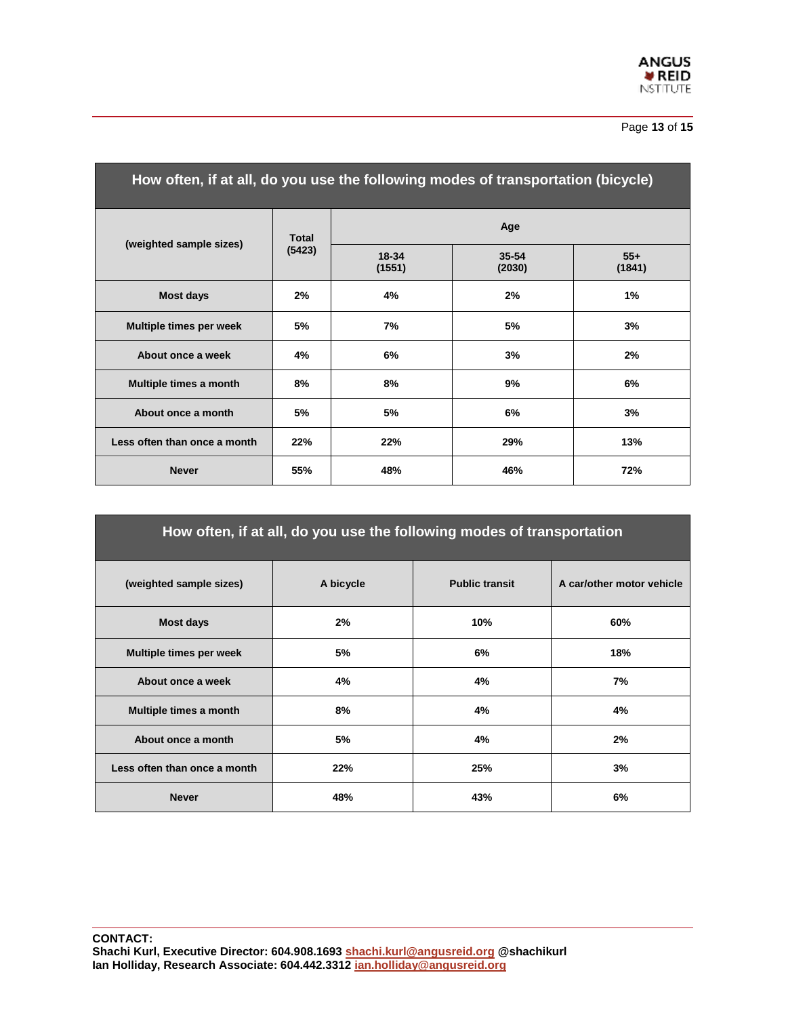

#### Page **13** of **15**

| How often, if at all, do you use the following modes of transportation (bicycle) |              |                 |                     |                 |  |  |  |  |
|----------------------------------------------------------------------------------|--------------|-----------------|---------------------|-----------------|--|--|--|--|
| (weighted sample sizes)                                                          | <b>Total</b> |                 | Age                 |                 |  |  |  |  |
|                                                                                  | (5423)       | 18-34<br>(1551) | $35 - 54$<br>(2030) | $55+$<br>(1841) |  |  |  |  |
| <b>Most days</b>                                                                 | 2%           | 4%              | 2%                  | 1%              |  |  |  |  |
| Multiple times per week                                                          | 5%           | 7%              | 5%                  | 3%              |  |  |  |  |
| About once a week                                                                | 4%           | 6%              | 3%                  | 2%              |  |  |  |  |
| Multiple times a month                                                           | 8%           | 8%              | 9%                  | 6%              |  |  |  |  |
| About once a month                                                               | 5%           | 5%              | 6%                  | 3%              |  |  |  |  |
| Less often than once a month                                                     | 22%          | 22%             | 29%                 | 13%             |  |  |  |  |
| <b>Never</b>                                                                     | 55%          | 48%             | 46%                 | 72%             |  |  |  |  |

| How often, if at all, do you use the following modes of transportation |           |                       |                           |  |  |  |  |  |
|------------------------------------------------------------------------|-----------|-----------------------|---------------------------|--|--|--|--|--|
| (weighted sample sizes)                                                | A bicycle | <b>Public transit</b> | A car/other motor vehicle |  |  |  |  |  |
| Most days                                                              | 2%        | 10%                   | 60%                       |  |  |  |  |  |
| Multiple times per week                                                | 5%        | 6%                    | 18%                       |  |  |  |  |  |
| About once a week                                                      | 4%        | 4%                    | 7%                        |  |  |  |  |  |
| Multiple times a month                                                 | 8%        | 4%                    | 4%                        |  |  |  |  |  |
| About once a month                                                     | 5%        | 4%                    | 2%                        |  |  |  |  |  |
| Less often than once a month                                           | 22%       | 25%                   | 3%                        |  |  |  |  |  |
| <b>Never</b>                                                           | 48%       | 43%                   | 6%                        |  |  |  |  |  |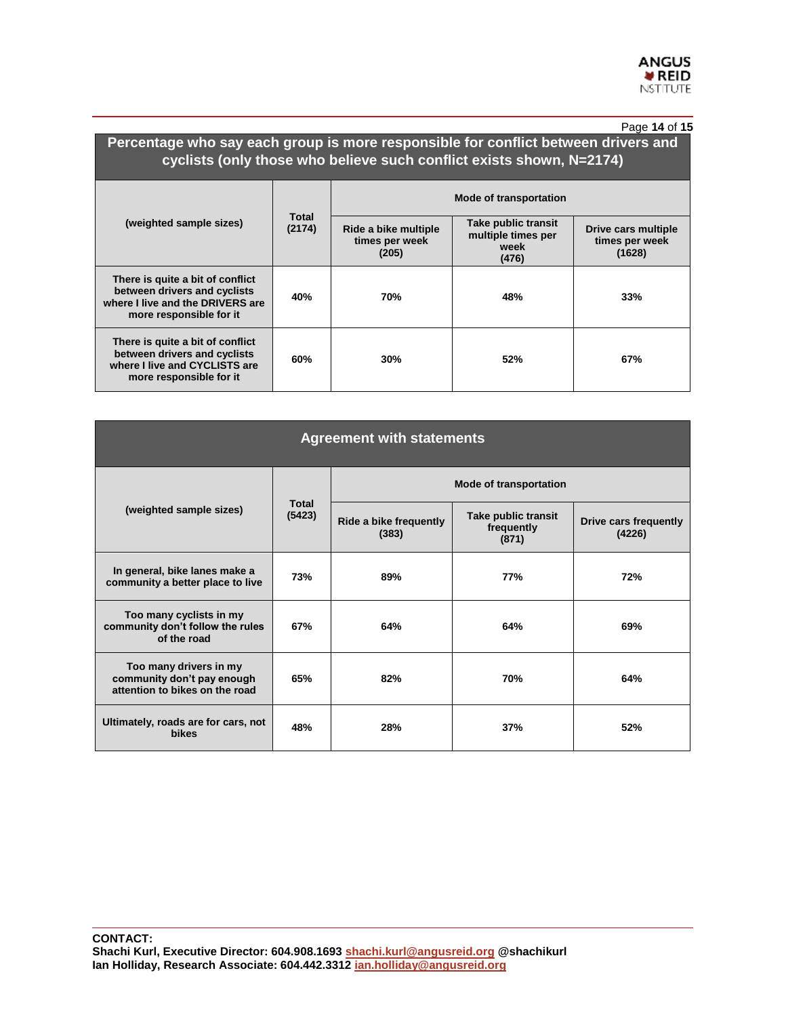#### Page **14** of **15**

## **Percentage who say each group is more responsible for conflict between drivers and cyclists (only those who believe such conflict exists shown, N=2174)**

|                                                                                                                                 |                 | <b>Mode of transportation</b>                   |                                                            |                                                 |  |  |
|---------------------------------------------------------------------------------------------------------------------------------|-----------------|-------------------------------------------------|------------------------------------------------------------|-------------------------------------------------|--|--|
| (weighted sample sizes)                                                                                                         | Total<br>(2174) | Ride a bike multiple<br>times per week<br>(205) | Take public transit<br>multiple times per<br>week<br>(476) | Drive cars multiple<br>times per week<br>(1628) |  |  |
| There is quite a bit of conflict<br>between drivers and cyclists<br>where I live and the DRIVERS are<br>more responsible for it | 40%             | 70%                                             | 48%                                                        | 33%                                             |  |  |
| There is quite a bit of conflict<br>between drivers and cyclists<br>where I live and CYCLISTS are<br>more responsible for it    | 60%             | 30%                                             | 52%                                                        | 67%                                             |  |  |

| <b>Agreement with statements</b>                                                       |                        |                                 |                                            |                                 |  |  |  |
|----------------------------------------------------------------------------------------|------------------------|---------------------------------|--------------------------------------------|---------------------------------|--|--|--|
|                                                                                        |                        | <b>Mode of transportation</b>   |                                            |                                 |  |  |  |
| (weighted sample sizes)                                                                | <b>Total</b><br>(5423) | Ride a bike frequently<br>(383) | Take public transit<br>frequently<br>(871) | Drive cars frequently<br>(4226) |  |  |  |
| In general, bike lanes make a<br>community a better place to live                      | 73%                    | 89%                             | <b>77%</b>                                 | 72%                             |  |  |  |
| Too many cyclists in my<br>community don't follow the rules<br>of the road             | 67%                    | 64%                             | 64%                                        | 69%                             |  |  |  |
| Too many drivers in my<br>community don't pay enough<br>attention to bikes on the road | 65%                    | 82%                             | 70%                                        | 64%                             |  |  |  |
| Ultimately, roads are for cars, not<br><b>bikes</b>                                    | 48%                    | 28%                             | 37%                                        | 52%                             |  |  |  |